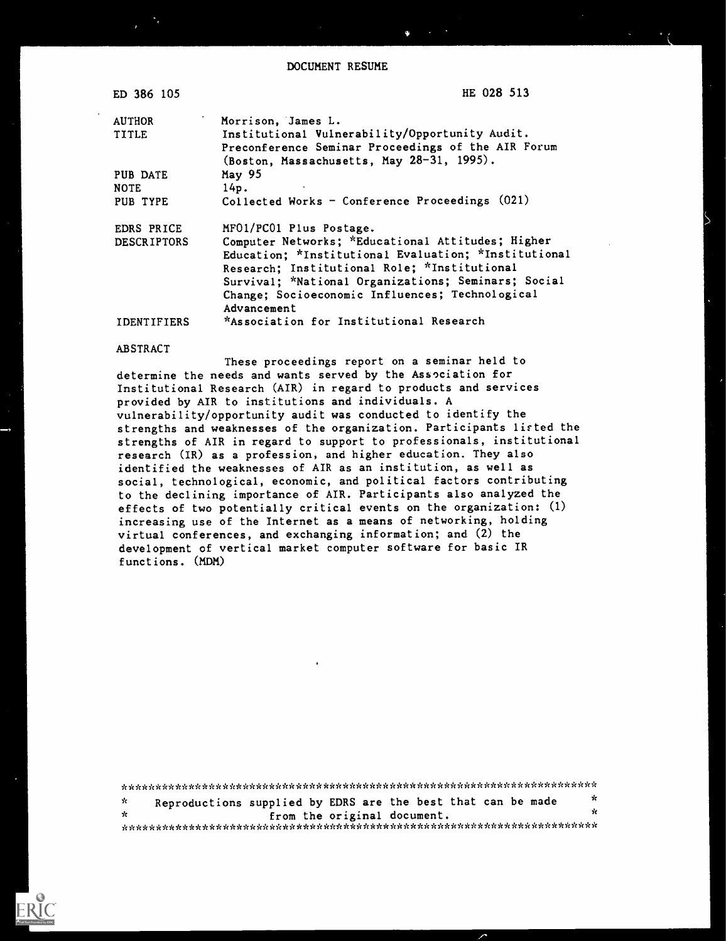DOCUMENT RESUME

| ED 386 105         | HE 028 513                                           |
|--------------------|------------------------------------------------------|
| <b>AUTHOR</b>      | Morrison, James L.                                   |
| TITLE              | Institutional Vulnerability/Opportunity Audit.       |
|                    | Preconference Seminar Proceedings of the AIR Forum   |
|                    | (Boston, Massachusetts, May 28-31, 1995).            |
| PUB DATE           | May 95                                               |
| <b>NOTE</b>        | 14p.                                                 |
| PUB TYPE           | Collected Works - Conference Proceedings (021)       |
| EDRS PRICE         | MF01/PC01 Plus Postage.                              |
| <b>DESCRIPTORS</b> | Computer Networks; *Educational Attitudes; Higher    |
|                    | Education; *Institutional Evaluation; *Institutional |
|                    | Research; Institutional Role; *Institutional         |
|                    | Survival; *National Organizations; Seminars; Social  |
|                    | Change; Socioeconomic Influences; Technological      |
|                    | Advancement                                          |
| <b>IDENTIFIERS</b> | *Association for Institutional Research              |
|                    |                                                      |

#### ABSTRACT

These proceedings report on a seminar held to determine the needs and wants served by the Association for Institutional Research (AIR) in regard to products and services provided by AIR to institutions and individuals. A vulnerability/opportunity audit was conducted to identify the strengths and weaknesses of the organization. Participants lirted the strengths of AIR in regard to support to professionals, institutional research (IR) as a profession, and higher education. They also identified the weaknesses of AIR as an institution, as well as social, technological, economic, and political factors contributing to the declining importance of AIR. Participants also analyzed the effects of two potentially critical events on the organization: (1) increasing use of the Internet as a means of networking, holding virtual conferences, and exchanging information; and (2) the development of vertical market computer software for basic IR functions. (MDM)

\*\*\*\*\*\*\*\*\*\*\*\*\*\*\*\*\*\*\*\*\*\*\*\*\*\*\*\*\*\*\*\*\*\*\*\*\*\*\*\*\*\*\*\*\*\*\*\*\*\*\*\*\*\*\*\*\*\*\*\*\*\*\*\*\*\*\*\*\*\*\* Reproductions supplied by EDRS are the best that can be made  $\frac{x}{x}$  $\dot{\mathbf{x}}$ from the original document. \* \*\*\*\*\*\*\*\*\*\*\*\*\*\*\*\*\*\*\*\*\*\*\*\*\*\*\*\*\*\*\*\*\*\*\*\*\*\*\*\*\*\*\*\*\*\*\*\*\*\*\*\*\*\*\*\*\*\*\*\*\*\*\*\*\*\*\*\*\*\*\*



 $\rightarrow$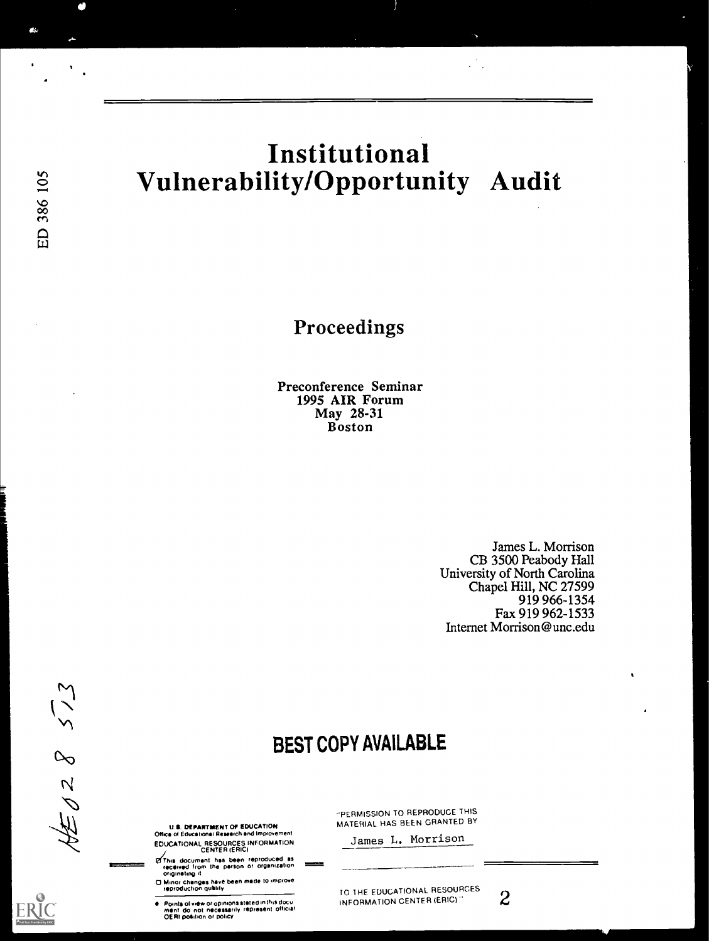# Institutional Vulnerability/Opportunity Audit

Proceedings

Preconference Seminar 1995 AIR Forum May 28-31 Boston

> James L. Morrison CB 3500 Peabody Hall University of North Carolina Chapel Hill, NC 27599 919 966-1354 Fax 919 962-1533 Internet Morrison@unc.edu

> > 4

# BEST COPY AVAILABLE

rkr

erv.

 $8<sup>o</sup>$  $\frac{1}{2}$ 

U.S. DEPARTMENT OF EDUCATION Office of Educational Research and Improvement

EDUCATIONAL RESOURCES INFORMATION CENTER /ERIC)

felihrs document has teen reproduced es recred from the person or orgenizabon t=-"-- 04Icenetrng

□ Minor changes have been made to improve<br>- reproduction quality

Points of view or opinions stated in this docu<br>ment: do: not: necessarily: represent: official<br>OERI pošition or policy

"PERMISSION TO REPRODUCE THIS MATERIAL HAS BEEN GRANTED BY

James L. Morrison

TO THE EDUCATIONAL RESOURCES 2 INFORMATION CENTER (ERIC)"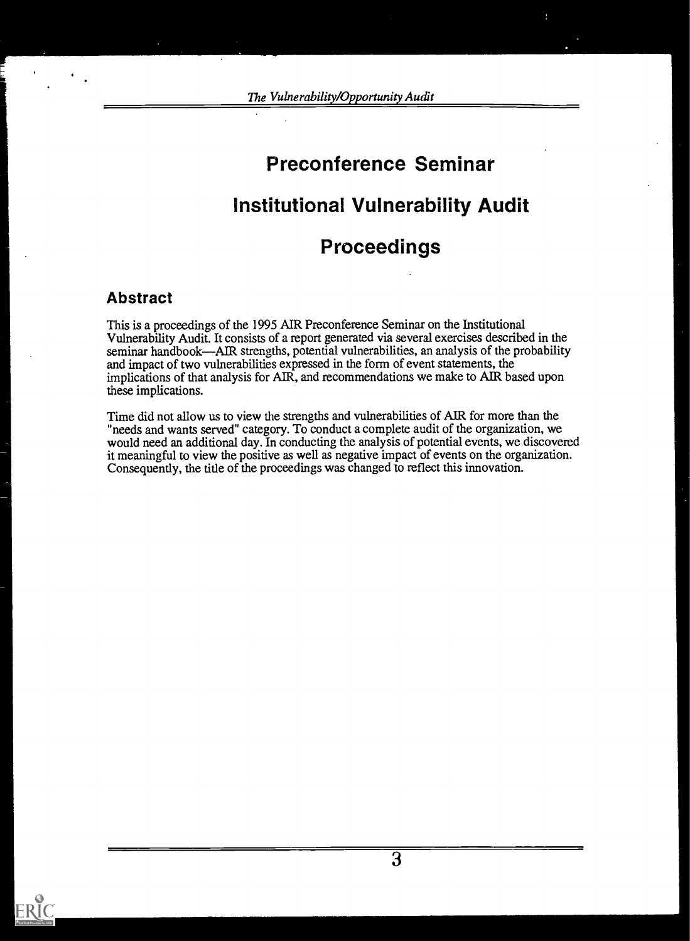The Vulnerability/Opportunity Audit

# Preconference Seminar

# Institutional Vulnerability Audit

# Proceedings

## Abstract

This is a proceedings of the 1995 AIR Preconference Seminar on the Institutional Vulnerability Audit. It consists of a report generated via several exercises described in the seminar handbook—AIR strengths, potential vulnerabilities, an analysis of the probability and impact of two vulnerabilities expressed in the form of event statements, the implications of that analysis for AIR, and recommendations we make to AIR based upon these implications.

Time did not allow us to view the strengths and vulnerabilities of AIR for more than the "needs and wants served" category. To conduct a complete audit of the organization, we would need an additional day. In conducting the analysis of potential events, we discovered it meaningful to view the positive as well as negative impact of events on the organization. Consequently, the title of the proceedings was changed to reflect this innovation.

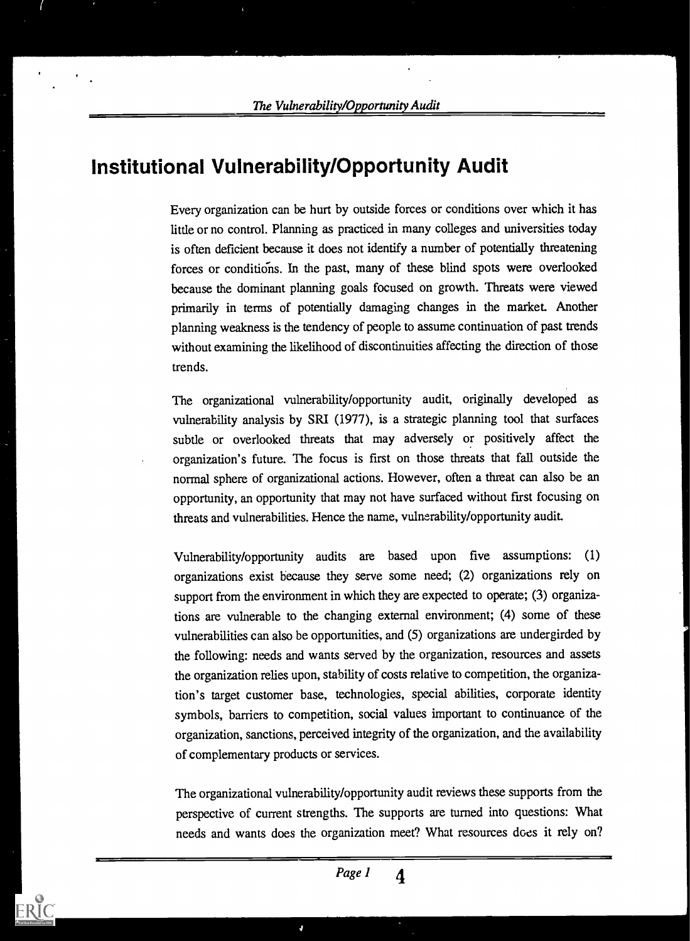# Institutional Vulnerability/Opportunity Audit

Every organization can be hurt by outside forces or conditions over which it has little or no control. Planning as practiced in many colleges and universities today is often deficient because it does not identify a number of potentially threatening forces or conditions. In the past, many of these blind spots were overlooked because the dominant planning goals focused on growth. Threats were viewed primarily in terms of potentially damaging changes in the market. Another planning weakness is the tendency of people to assume continuation of past trends without examining the likelihood of discontinuities affecting the direction of those trends.

The organizational vulnerability/opportunity audit, originally developed as vulnerability analysis by SRI (1977), is a strategic planning tool that surfaces subtle or overlooked threats that may adversely or positively affect the organization's future. The focus is first on those threats that fall outside the normal sphere of organizational actions. However, often a threat can also be an opportunity, an opportunity that may not have surfaced without first focusing on threats and vulnerabilities. Hence the name, vulnerability/opportunity audit.

Vulnerability/opportunity audits are based upon five assumptions: (1) organizations exist because they serve some need; (2) organizations rely on support from the environment in which they are expected to operate; (3) organizations are vulnerable to the changing external environment; (4) some of these vulnerabilities can also be opportunities, and (5) organizations are undergirded by the following: needs and wants served by the organization, resources and assets the organization relies upon, stability of costs relative to competition, the organization's target customer base, technologies, special abilities, corporate identity symbols, barriers to competition, social values important to continuance of the organization, sanctions, perceived integrity of the organization, and the availability of complementary products or services.

The organizational vulnerability/opportunity audit reviews these supports from the perspective of current strengths. The supports are turned into questions: What needs and wants does the organization meet? What resources does it rely on?



4

ERIC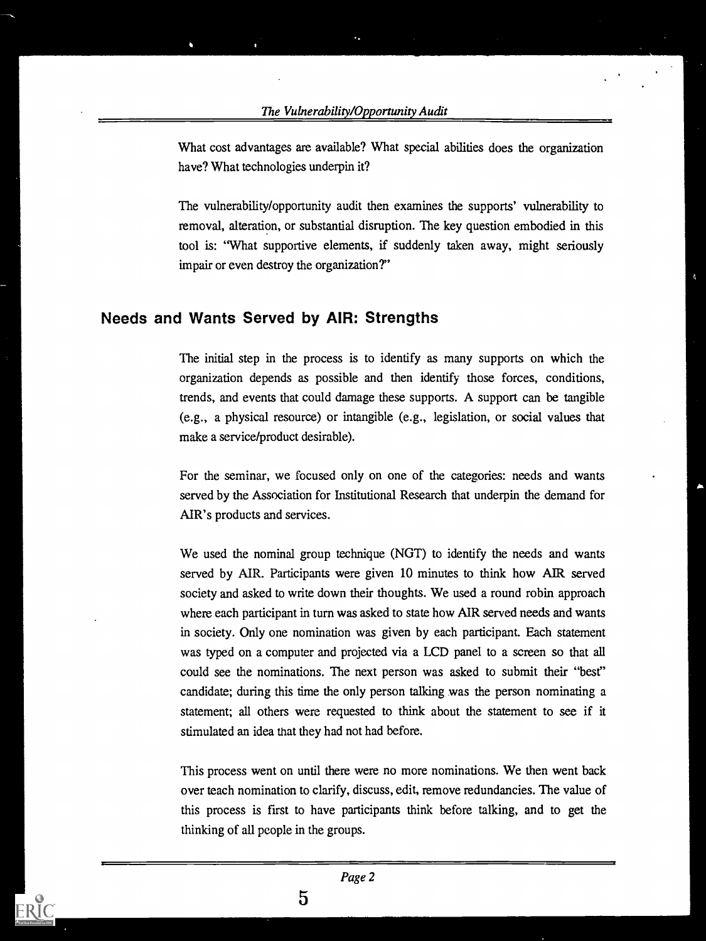#### The Vulnerability/Opportunity Audit

What cost advantages are available? What special abilities does the organization have? What technologies underpin it?

The vulnerability/opportunity audit then examines the supports' vulnerability to removal, alteration, or substantial disruption. The key question embodied in this tool is: "What supportive elements, if suddenly taken away, might seriously impair or even destroy the organization?"

4

### Needs and Wants Served by AIR: Strengths

The initial step in the process is to identify as many supports on which the organization depends as possible and then identify those forces, conditions, trends, and events that could damage these supports. A support can be tangible (e.g., a physical resource) or intangible (e.g., legislation, or social values that make a service/product desirable).

For the seminar, we focused only on one of the categories: needs and wants served by the Association for Institutional Research that underpin the demand for AIR's products and services.

We used the nominal group technique (NGT) to identify the needs and wants served by AIR. Participants were given 10 minutes to think how AIR served society and asked to write down their thoughts. We used a round robin approach where each participant in turn was asked to state how AIR served needs and wants in society. Only one nomination was given by each participant. Each statement was typed on a computer and projected via a LCD panel to a screen so that all could see the nominations. The next person was asked to submit their "best" candidate; during this time the only person talking was the person nominating a statement; all others were requested to think about the statement to see if it stimulated an idea that they had not had before.

This process went on until there were no more nominations. We then went back over teach nomination to clarify, discuss, edit, remove redundancies. The value of this process is first to have participants think before talking, and to get the thinking of all people in the groups.

 $5\overline{5}$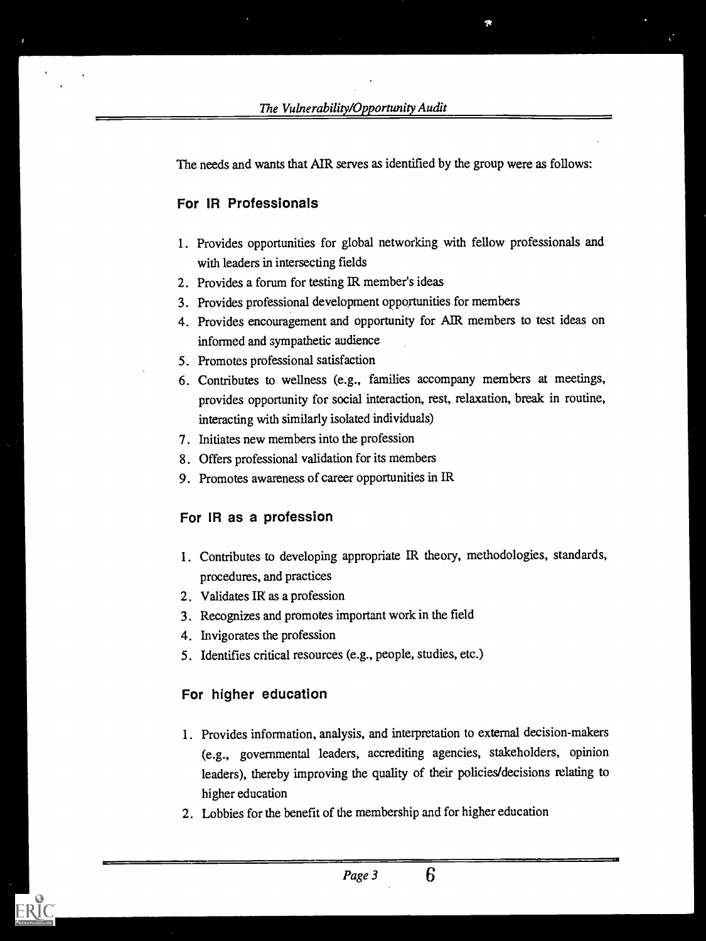The needs and wants that AIR serves as identified by the group were as follows:

#### For IR Professionals

- <sup>1</sup> . Provides opportunities for global networking with fellow professionals and with leaders in intersecting fields
- 2. Provides a forum for testing IR member's ideas
- 3. Provides professional development opportunities for members
- 4. Provides encouragement and opportunity for AIR members to test ideas on informed and sympathetic audience
- 5. Promotes professional satisfaction
- 6. Contributes to wellness (e.g., families accompany members at meetings, provides opportunity for social interaction, rest, relaxation, break in routine, interacting with similarly isolated individuals)
- 7. Initiates new members into the profession
- 8. Offers professional validation for its members
- 9. Promotes awareness of career opportunities in IR

#### For IR as a profession

- 1. Contributes to developing appropriate IR theory, methodologies, standards, procedures, and practices
- 2. Validates IR as a profession
- 3. Recognizes and promotes important work in the field
- 4. Invigorates the profession
- 5. Identifies critical resources (e.g., people, studies, etc.)

#### For higher education

- <sup>1</sup> . Provides information, analysis, and interpretation to external decision-makers (e.g., governmental leaders, accrediting agencies, stakeholders, opinion leaders), thereby improving the quality of their policies/decisions relating to higher education
- 2. Lobbies for the benefit of the membership and for higher education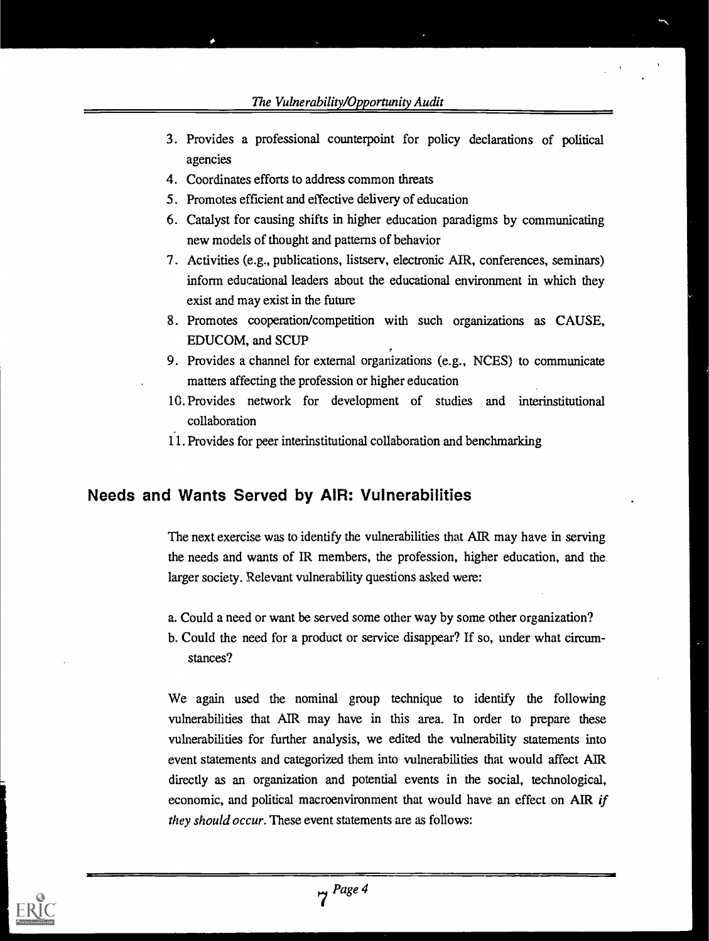The Vulnerability/Opportunity Audit

- 3. Provides a professional counterpoint for policy declarations of political agencies
- 4. Coordinates efforts to address common threats
- 5 . Promotes efficient and effective delivery of education
- 6. Catalyst for causing shifts in higher education paradigms by communicating new models of thought and patterns of behavior
- 7 . Activities (e.g., publications, listserv, electronic AIR, conferences, seminars) inform educational leaders about the educational environment in which they exist and may exist in the future
- 8. Promotes cooperation/competition with such organizations as CAUSE, EDUCOM, and SCUP
- 9. Provides a channel for external organizations (e.g., NCES) to communicate matters affecting the profession or higher education
- 1 G. Provides network for development of studies and interinstitutional collaboration
- 11. Provides for peer interinstitutional collaboration and benchmarking

## Needs and Wants Served by AIR: Vulnerabilities

The next exercise was to identify the vulnerabilities that AIR may have in serving the needs and wants of IR members, the profession, higher education, and the larger society. Relevant vulnerability questions asked were:

- a. Could a need or want be served some other way by some other organization?
- b. Could the need for a product or service disappear? If so, under what circumstances?

We again used the nominal group technique to identify the following vulnerabilities that AIR may have in this area. In order to prepare these vulnerabilities for further analysis, we edited the vulnerability statements into event statements and categorized them into vulnerabilities that would affect AIR directly as an organization and potential events in the social, technological, economic, and political macroenvironment that would have an effect on AIR *if* they should occur. These event statements are as follows:

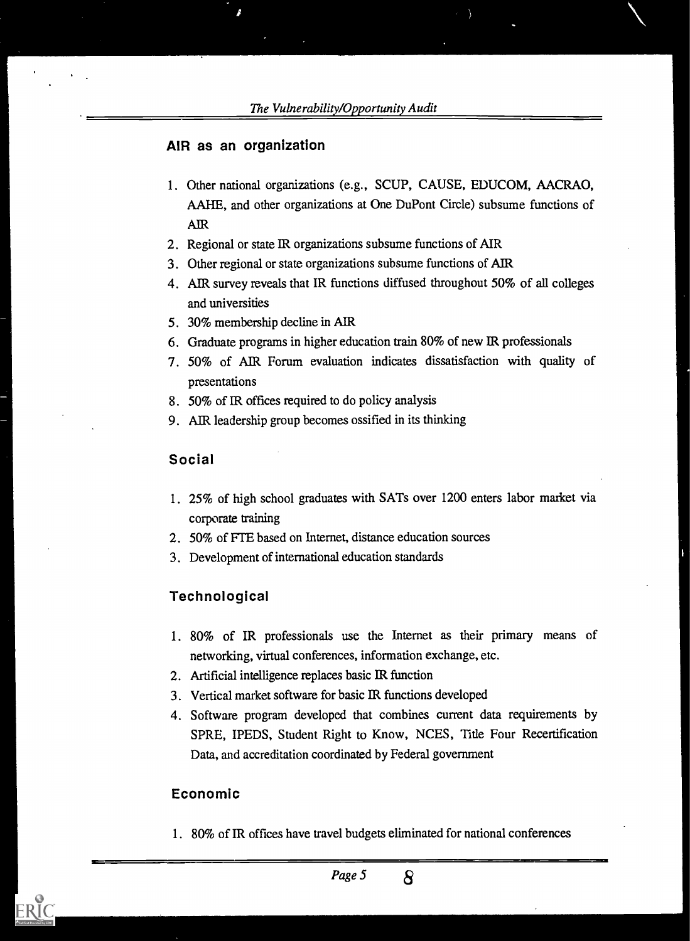#### AIR as an organization

 $\mathbf{r}$ 

- 1. Other national organizations (e.g., SCUP, CAUSE, EDUCOM, AACRAO, AAHE, and other organizations at One DuPont Circle) subsume functions of **AIR**
- 2. Regional or state IR organizations subsume functions of MR
- 3. Other regional or state organizations subsume functions of MR
- 4. AER survey reveals that IR functions diffused throughout 50% of all colleges and universities
- 5 30% membership decline in AIR
- 6. Graduate programs in higher education train 80% of new ER professionals
- 7. 50% of AIR Forum evaluation indicates dissatisfaction with quality of presentations
- 8. 50% of JR offices required to do policy analysis
- 9. AIR leadership group becomes ossified in its thinking

#### Social

1. 25% of high school graduates with SATs over 1200 enters labor market via corporate training

1

- 2. 50% of FrE based on Internet, distance education sources
- 3. Development of international education standards

#### **Technological**

- 1. 80% of IR professionals use the Internet as their primary means of networking, virtual conferences, information exchange, etc.
- 2. Artificial intelligence replaces basic lR function
- 3. Vertical market software for basic lR functions developed
- 4. Software program developed that combines current data requirements by SPRE, IPEDS, Student Right to Know, NCES, Title Four Recertification Data, and accreditation coordinated by Federal government

#### Economic

1. 80% of IR offices have travel budgets eliminated for national conferences

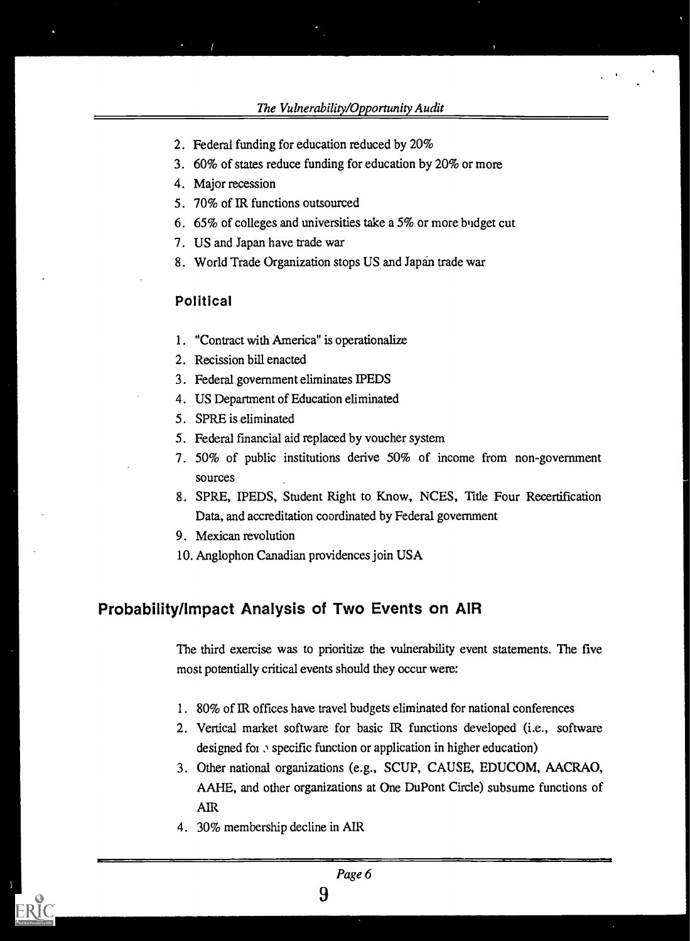- 2. Federal funding for education reduced by 20%
- 3. 60% of states reduce funding for education by 20% or more
- 4. Major recession
- 5. 70% of 1R functions outsourced
- 6. 65% of colleges and universities take a 5% or more buidget cut
- 7. US and Japan have trade war
- 8. World Trade Organization stops US and Japan trade war

#### Political

- 1. "Contract with America" is operationalize
- 2. Recission bill enacted
- 3. Federal government eliminates WEDS
- 4. US Department of Education eliminated
- 5. SPRE is eliminated
- 5. Federal fmancial aid replaced by voucher system
- 7. 50% of public institutions derive 50% of income from non-government sources
- 8. SPRE, IPEDS, Student Right to Know, NCES, Title Four Recertification Data, and accreditation coordinated by Federal government
- 9. Mexican revolution
- 10. Anglophon Canadian providences join USA

### Probability/Impact Analysis of Two Events on AIR

The third exercise was to prioritize the vulnerability event statements. The five most potentially critical events should they occur were:

- 1. 80% of IR offices have travel budgets eliminated for national conferences
- 2. Vertical market software for basic IR functions developed (i.e., software designed for  $\sigma$  specific function or application in higher education)
- 3. Other national organizations (e.g., SCUP, CAUSE, EDUCOM, AACRAO, AAHE, and other organizations at One DuPont Circle) subsume functions of AIR
- 4. 30% membership decline in AIR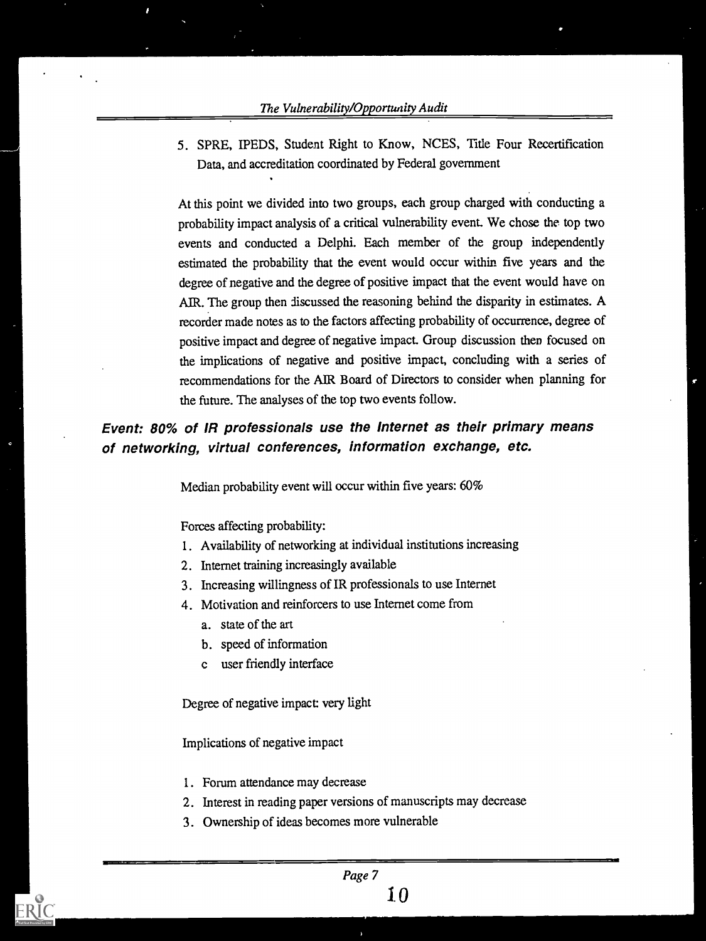5. SPRE, IPEDS, Student Right to Know, NCES, Title Four Recertification Data, and accreditation coordinated by Federal government

At this point we divided into two groups, each group charged with conducting a probability impact analysis of a critical vulnerability event. We chose the top two events and conducted a Delphi. Each member of the group independently estimated the probability that the event would occur within five years and the degree of negative and the degree of positive impact that the event would have on AIR. The group then discussed the reasoning behind the disparity in estimates. A recorder made notes as to the factors affecting probability of occurrence, degree of positive impact and degree of negative impact. Group discussion then focused on the implications of negative and positive impact, concluding with a series of recommendations for the MR Board of Directors to consider when planning for the future. The analyses of the top two events follow.

## Event: 80% of IR professionals use the Internet as their primary means of networking, virtual conferences, information exchange, etc.

Median probability event will occur within five years: 60%

Forces affecting probability:

- 1. Availability of networking at individual institutions increasing
- 2. Internet training increasingly available
- 3. Increasing willingness of IR professionals to use Internet
- 4. Motivation and reinforcers to use Internet come from
	- a. state of the art
	- b. speed of information
	- c user friendly interface

Degree of negative impact: very light

Implications of negative impact

- 1. Forum attendance may decrease
- 2. Interest in reading paper versions of manuscripts may decrease
- 3. Ownership of ideas becomes more vulnerable

 $\bf{10}$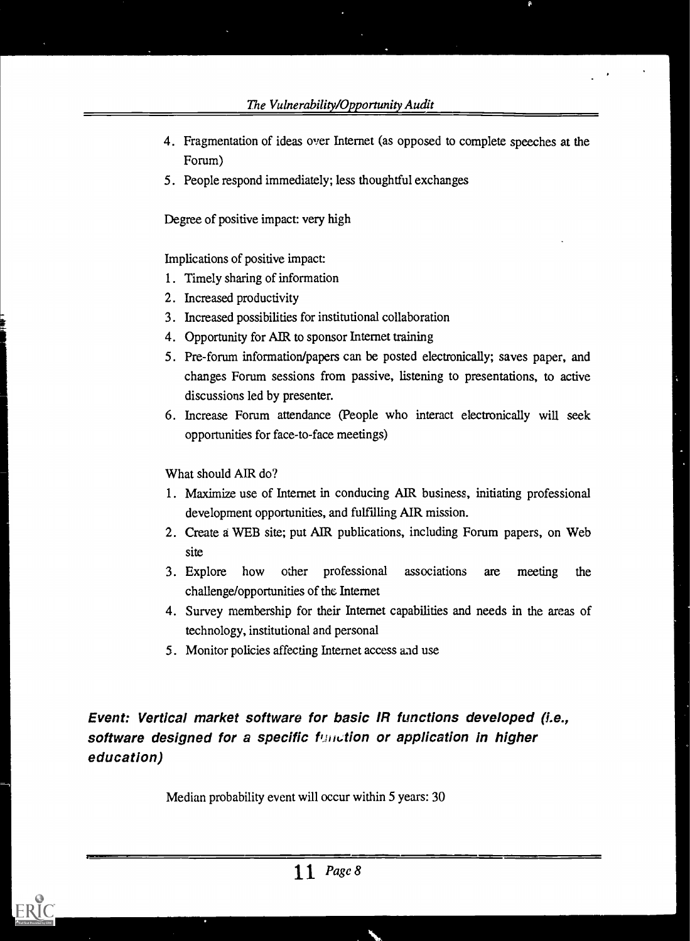- 4. Fragmentation of ideas over Internet (as opposed to complete speeches at the Forum)
- 5. People respond immediately; less thoughtful exchanges

Degree of positive impact: very high

Implications of positive impact:

- 1. Timely sharing of information
- 2. Increased productivity
- 3. Increased possibilities for institutional collaboration
- 4. Opportunity for AIR to sponsor Internet training
- 5. Pre-forum information/papers can be posted electronically; saves paper, and changes Forum sessions from passive, listening to presentations, to active discussions led by presenter.
- 6. Increase Forum attendance (People who interact electronically will seek opportunities for face-to-face meetings)

What should AIR do?

- 1. Maximize use of Internet in conducing AlR business, initiating professional development opportunities, and fulfilling AIR mission.
- 2. Create a WEB site; put AIR publications, including Forum papers, on Web site
- 3. Explore how other professional associations are meeting the challenge/opportunities of the Internet
- 4. Survey membership for their Internet capabilities and needs in the areas of technology, institutional and personal
- 5. Monitor policies affecting Internet access and use

Event: Vertical market software for basic IR functions developed (i.e., software designed for a specific function or application in higher education)

Median probability event will occur within 5 years: 30

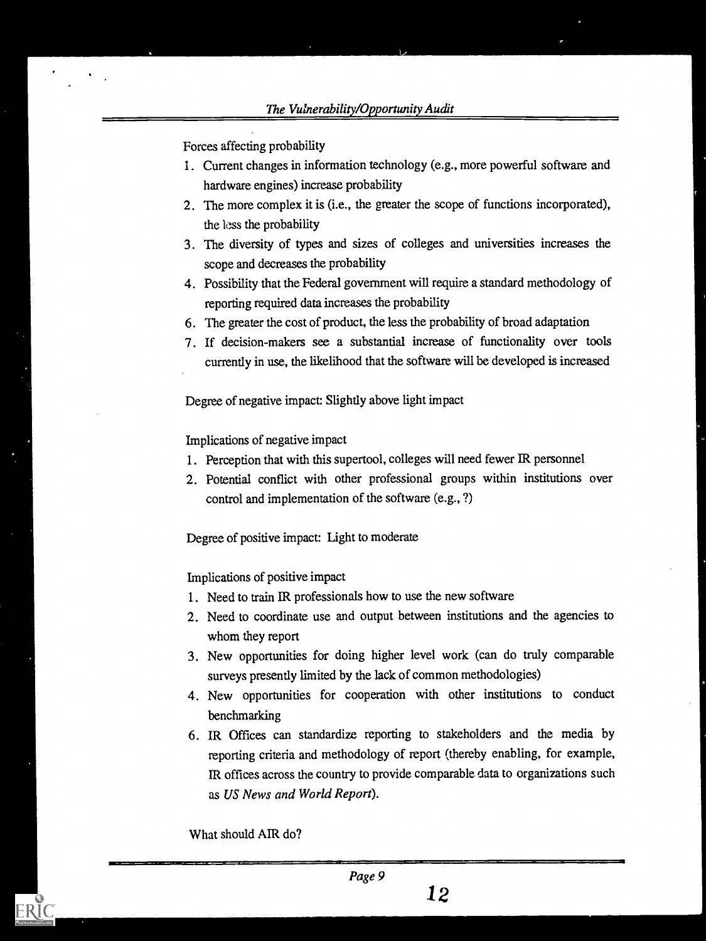Forces affecting probability

- 1. Current changes in information technology (e.g., more powerful software and hardware engines) increase probability
- 2. The more complex it is (i.e., the greater the scope of functions incorporated), the less the probability
- 3. The diversity of types and sizes of colleges and universities increases the scope and decreases the probability
- 4. Possibility that the Federal government will require a standard methodology of reporting required data increases the probability
- 6. The greater the cost of product, the less the probability of broad adaptation
- 7. If decision-makers see a substantial increase of functionality over tools currently in use, the likelihood that the software will be developed is increased

Degree of negative impact: Slightly above light impact

Implications of negative impact

- 1. Perception that with this supertool, colleges will need fewer IR personnel
- 2. Potential conflict with other professional groups within institutions over control and implementation of the software (e.g., ?)

Degree of positive impact: Light to moderate

Implications of positive impact

- 1. Need to train IR professionals how to use the new software
- 2. Need to coordinate use and output between institutions and the agencies to whom they report
- 3. New opportunities for doing higher level work (can do truly comparable surveys presently limited by the lack of common methodologies)
- 4. New opportunities for cooperation with other institutions to conduct benchmarking
- 6. IR Offices can standardize reporting to stakeholders and the media by reporting criteria and methodology of report (thereby enabling, for example, IR offices across the country to provide comparable data to organizations such as US News and World Report).

What should AIR do?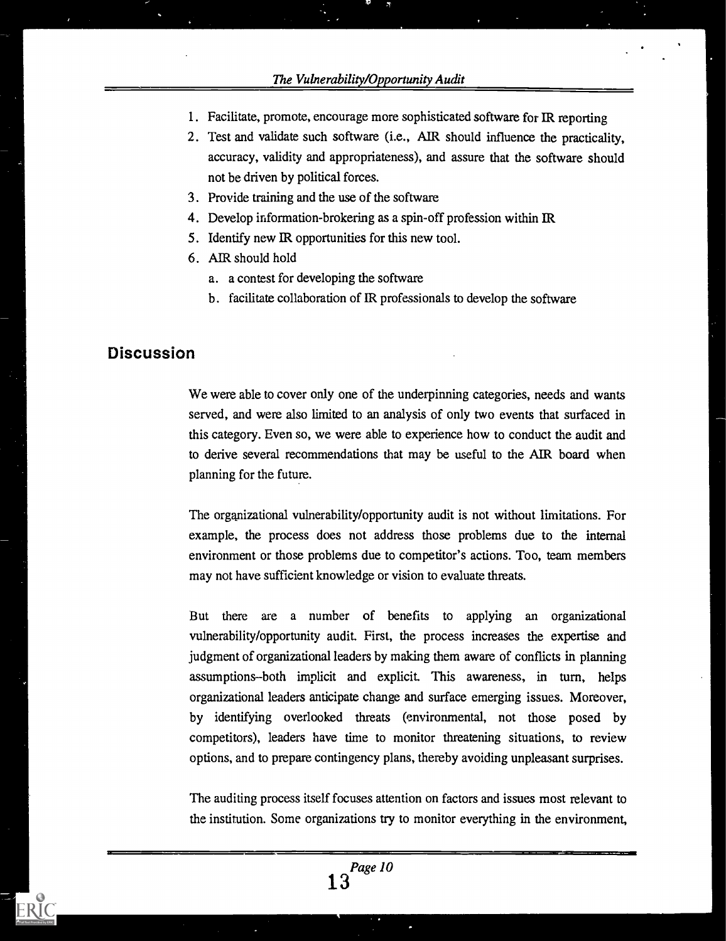- 1. Facilitate, promote, encourage more sophisticated software for IR reporting
- 2 . Test and validate such software (i.e., AIR should influence the practicality, accuracy, validity and appropriateness), and assure that the software should not be driven by political forces.
- 3. Provide training and the use of the software
- 4. Develop information-brokering as a spin-off profession within IR
- 5. Identify new IR opportunities for this new tool.
- 6. AIR should hold
	- a. a contest for developing the software
	- b. facilitate collaboration of IR professionals to develop the software

## Discussion

We were able to cover only one of the underpinning categories, needs and wants served, and were also limited to an analysis of only two events that sutfaced in this category. Even so, we were able to experience how to conduct the audit and to derive several recommendations that may be useful to the AIR board when planning for the future.

The organizational vulnerability/opportunity audit is not without limitations. For example, the process does not address those problems due to the internal environment or those problems due to competitor's actions. Too, team members may not have sufficient knowledge or vision to evaluate threats.

But there are a number of benefits to applying an organizational vulnerability/opportunity audit. First, the process increases the expertise and judgment of organizational leaders by making them aware of conflicts in planning assumptions-both implicit and explicit. This awareness, in turn, helps organizational leaders anticipate change and surface emerging issues. Moreover, by identifying overlooked threats (environmental, not those posed by competitors), leaders have time to monitor threatening situations, to review options, and to prepare contingency plans, thereby avoiding unpleasant surprises.

The auditing process itself focuses attention on factors and issues most relevant to the institution. Some organizations try to monitor everything in the environment,

Page 10 13